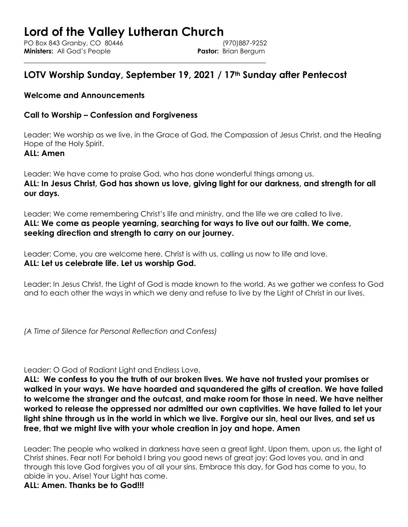## **Lord of the Valley Lutheran Church** PO Box 843 Granby, CO 80446 (970)887-9252 **Ministers:** All God's People **Pastor:** Brian Bergum

\_\_\_\_\_\_\_\_\_\_\_\_\_\_\_\_\_\_\_\_\_\_\_\_\_\_\_\_\_\_\_\_\_\_\_\_\_\_\_\_\_\_\_\_\_\_\_\_\_\_\_\_\_\_\_\_\_\_\_\_\_\_\_\_\_\_

# **LOTV Worship Sunday, September 19, 2021 / 17th Sunday after Pentecost**

## **Welcome and Announcements**

## **Call to Worship – Confession and Forgiveness**

Leader: We worship as we live, in the Grace of God, the Compassion of Jesus Christ, and the Healing Hope of the Holy Spirit.

## **ALL: Amen**

Leader: We have come to praise God, who has done wonderful things among us. **ALL: In Jesus Christ, God has shown us love, giving light for our darkness, and strength for all our days.**

Leader: We come remembering Christ's life and ministry, and the life we are called to live. **ALL: We come as people yearning, searching for ways to live out our faith. We come, seeking direction and strength to carry on our journey.** 

Leader: Come, you are welcome here. Christ is with us, calling us now to life and love. **ALL: Let us celebrate life. Let us worship God.**

Leader: In Jesus Christ, the Light of God is made known to the world. As we gather we confess to God and to each other the ways in which we deny and refuse to live by the Light of Christ in our lives.

*(A Time of Silence for Personal Reflection and Confess)*

Leader: O God of Radiant Light and Endless Love,

**ALL: We confess to you the truth of our broken lives. We have not trusted your promises or walked in your ways. We have hoarded and squandered the gifts of creation. We have failed to welcome the stranger and the outcast, and make room for those in need. We have neither worked to release the oppressed nor admitted our own captivities. We have failed to let your light shine through us in the world in which we live. Forgive our sin, heal our lives, and set us free, that we might live with your whole creation in joy and hope. Amen**

Leader: The people who walked in darkness have seen a great light. Upon them, upon us, the light of Christ shines. Fear not! For behold I bring you good news of great joy: God loves you, and in and through this love God forgives you of all your sins. Embrace this day, for God has come to you, to abide in you. Arise! Your Light has come.

**ALL: Amen. Thanks be to God!!!**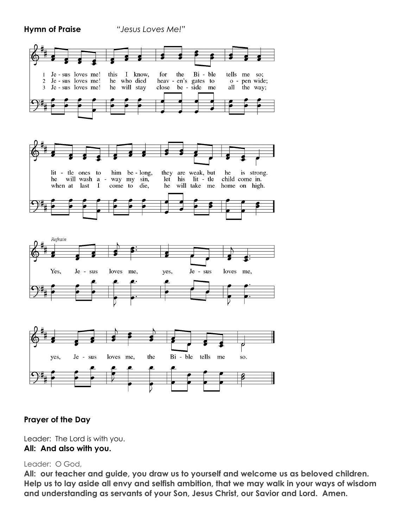**Hymn of Praise** *"Jesus Loves Me!"*







## **Prayer of the Day**

Leader: The Lord is with you. **All: And also with you.**

## Leader: O God,

**All: our teacher and guide, you draw us to yourself and welcome us as beloved children. Help us to lay aside all envy and selfish ambition, that we may walk in your ways of wisdom and understanding as servants of your Son, Jesus Christ, our Savior and Lord. Amen.**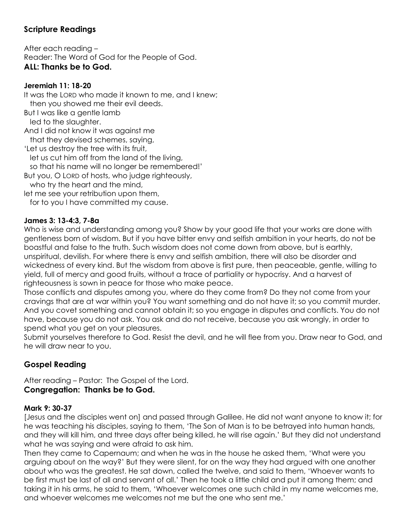## **Scripture Readings**

After each reading – Reader: The Word of God for the People of God. **ALL: Thanks be to God.**

### **Jeremiah 11: 18-20**

It was the LORD who made it known to me, and I knew; then you showed me their evil deeds. But I was like a gentle lamb led to the slaughter. And I did not know it was against me that they devised schemes, saying, 'Let us destroy the tree with its fruit, let us cut him off from the land of the living, so that his name will no longer be remembered!' But you, O LORD of hosts, who judge righteously, who try the heart and the mind. let me see your retribution upon them, for to you I have committed my cause.

### **James 3: 13-4:3, 7-8a**

Who is wise and understanding among you? Show by your good life that your works are done with gentleness born of wisdom. But if you have bitter envy and selfish ambition in your hearts, do not be boastful and false to the truth. Such wisdom does not come down from above, but is earthly, unspiritual, devilish. For where there is envy and selfish ambition, there will also be disorder and wickedness of every kind. But the wisdom from above is first pure, then peaceable, gentle, willing to yield, full of mercy and good fruits, without a trace of partiality or hypocrisy. And a harvest of righteousness is sown in peace for those who make peace.

Those conflicts and disputes among you, where do they come from? Do they not come from your cravings that are at war within you? You want something and do not have it; so you commit murder. And you covet something and cannot obtain it; so you engage in disputes and conflicts. You do not have, because you do not ask. You ask and do not receive, because you ask wrongly, in order to spend what you get on your pleasures.

Submit yourselves therefore to God. Resist the devil, and he will flee from you. Draw near to God, and he will draw near to you.

## **Gospel Reading**

After reading – Pastor: The Gospel of the Lord. **Congregation: Thanks be to God.**

## **Mark 9: 30-37**

[Jesus and the disciples went on] and passed through Galilee. He did not want anyone to know it; for he was teaching his disciples, saying to them, 'The Son of Man is to be betrayed into human hands, and they will kill him, and three days after being killed, he will rise again.' But they did not understand what he was saying and were afraid to ask him.

Then they came to Capernaum; and when he was in the house he asked them, 'What were you arguing about on the way?' But they were silent, for on the way they had argued with one another about who was the greatest. He sat down, called the twelve, and said to them, 'Whoever wants to be first must be last of all and servant of all.' Then he took a little child and put it among them; and taking it in his arms, he said to them, 'Whoever welcomes one such child in my name welcomes me, and whoever welcomes me welcomes not me but the one who sent me.'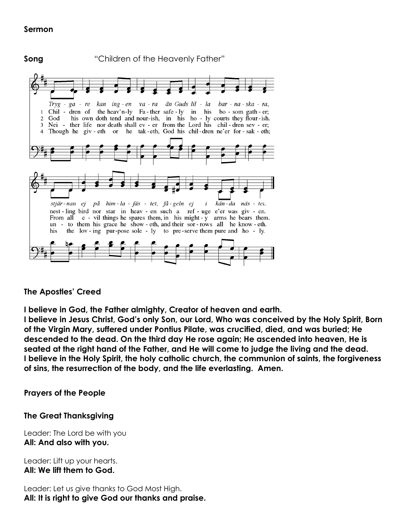## **Sermon**

**Song** "Children of the Heavenly Father" Tryg - ga - re kan ing - en va - ra än Guds lil - la bar - na - ska - ra, Chil - dren of the heav'n-ly Fa-ther safe-ly in his bo-som gath-er;  $\mathbf{1}$ his own doth tend and nour-ish, in his ho - ly courts they flour-ish.  $\overline{2}$ God 3 Nei - ther life nor death shall ev - er from the Lord his chil-dren sev - er; 4 Though he giv - eth or he tak-eth, God his chil-dren ne'er for - sak - eth; stjär-nan ej på him-la-fäs - tet, få-geln ej  $\dot{i}$ kän-da näs - tet. nest-ling bird nor star in heav-en such a ref-uge e'er was giv-en. From all e - vil things he spares them, in his might - y arms he bears them. un - to them his grace he show - eth, and their sor-rows all he know-eth. his the lov-ing pur-pose sole - ly to pre-serve them pure and ho - ly.

## **The Apostles' Creed**

**I believe in God, the Father almighty, Creator of heaven and earth.**

**I believe in Jesus Christ, God's only Son, our Lord, Who was conceived by the Holy Spirit, Born of the Virgin Mary, suffered under Pontius Pilate, was crucified, died, and was buried; He descended to the dead. On the third day He rose again; He ascended into heaven, He is seated at the right hand of the Father, and He will come to judge the living and the dead. I believe in the Holy Spirit, the holy catholic church, the communion of saints, the forgiveness of sins, the resurrection of the body, and the life everlasting. Amen.**

**Prayers of the People**

## **The Great Thanksgiving**

Leader: The Lord be with you **All: And also with you.**

Leader: Lift up your hearts. **All: We lift them to God.**

Leader: Let us give thanks to God Most High. **All: It is right to give God our thanks and praise.**